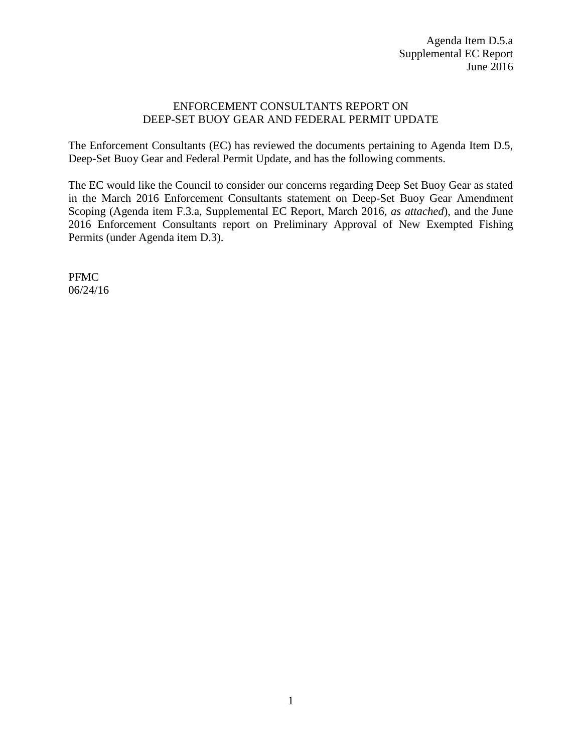## ENFORCEMENT CONSULTANTS REPORT ON DEEP-SET BUOY GEAR AND FEDERAL PERMIT UPDATE

The Enforcement Consultants (EC) has reviewed the documents pertaining to Agenda Item D.5, Deep-Set Buoy Gear and Federal Permit Update, and has the following comments.

The EC would like the Council to consider our concerns regarding Deep Set Buoy Gear as stated in the March 2016 Enforcement Consultants statement on Deep-Set Buoy Gear Amendment Scoping (Agenda item F.3.a, Supplemental EC Report, March 2016, *as attached*), and the June 2016 Enforcement Consultants report on Preliminary Approval of New Exempted Fishing Permits (under Agenda item D.3).

PFMC 06/24/16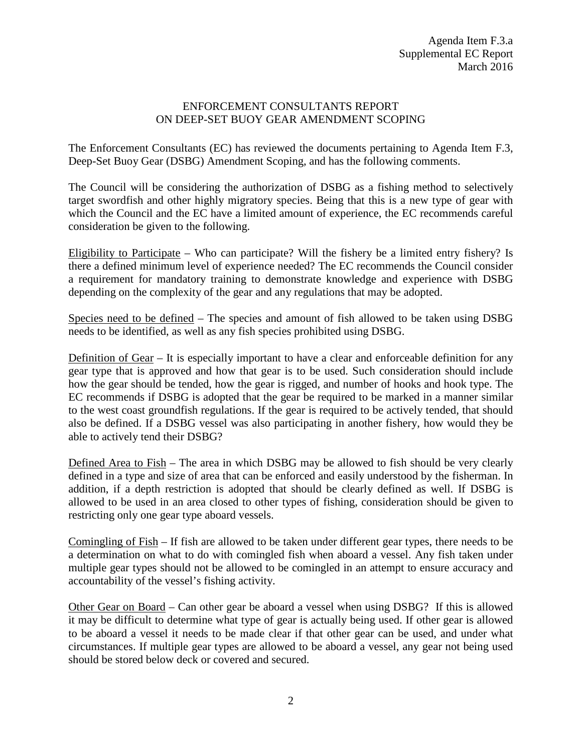## ENFORCEMENT CONSULTANTS REPORT ON DEEP-SET BUOY GEAR AMENDMENT SCOPING

The Enforcement Consultants (EC) has reviewed the documents pertaining to Agenda Item F.3, Deep-Set Buoy Gear (DSBG) Amendment Scoping, and has the following comments.

The Council will be considering the authorization of DSBG as a fishing method to selectively target swordfish and other highly migratory species. Being that this is a new type of gear with which the Council and the EC have a limited amount of experience, the EC recommends careful consideration be given to the following.

Eligibility to Participate – Who can participate? Will the fishery be a limited entry fishery? Is there a defined minimum level of experience needed? The EC recommends the Council consider a requirement for mandatory training to demonstrate knowledge and experience with DSBG depending on the complexity of the gear and any regulations that may be adopted.

Species need to be defined – The species and amount of fish allowed to be taken using DSBG needs to be identified, as well as any fish species prohibited using DSBG.

Definition of Gear – It is especially important to have a clear and enforceable definition for any gear type that is approved and how that gear is to be used. Such consideration should include how the gear should be tended, how the gear is rigged, and number of hooks and hook type. The EC recommends if DSBG is adopted that the gear be required to be marked in a manner similar to the west coast groundfish regulations. If the gear is required to be actively tended, that should also be defined. If a DSBG vessel was also participating in another fishery, how would they be able to actively tend their DSBG?

Defined Area to Fish – The area in which DSBG may be allowed to fish should be very clearly defined in a type and size of area that can be enforced and easily understood by the fisherman. In addition, if a depth restriction is adopted that should be clearly defined as well. If DSBG is allowed to be used in an area closed to other types of fishing, consideration should be given to restricting only one gear type aboard vessels.

Comingling of Fish – If fish are allowed to be taken under different gear types, there needs to be a determination on what to do with comingled fish when aboard a vessel. Any fish taken under multiple gear types should not be allowed to be comingled in an attempt to ensure accuracy and accountability of the vessel's fishing activity.

Other Gear on Board – Can other gear be aboard a vessel when using DSBG? If this is allowed it may be difficult to determine what type of gear is actually being used. If other gear is allowed to be aboard a vessel it needs to be made clear if that other gear can be used, and under what circumstances. If multiple gear types are allowed to be aboard a vessel, any gear not being used should be stored below deck or covered and secured.